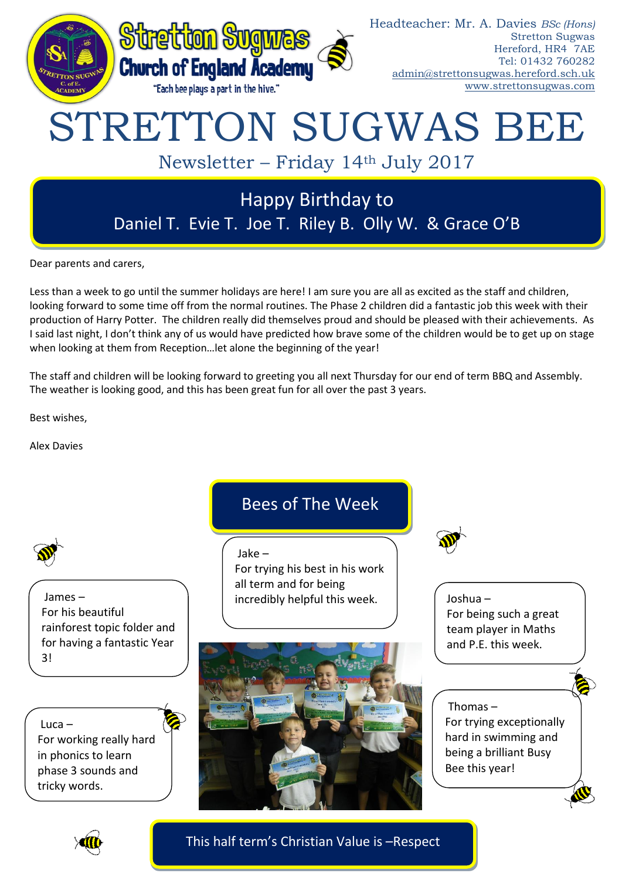

Dear parents and carers,

Less than a week to go until the summer holidays are here! I am sure you are all as excited as the staff and children, looking forward to some time off from the normal routines. The Phase 2 children did a fantastic job this week with their production of Harry Potter. The children really did themselves proud and should be pleased with their achievements. As I said last night, I don't think any of us would have predicted how brave some of the children would be to get up on stage when looking at them from Reception…let alone the beginning of the year!

The staff and children will be looking forward to greeting you all next Thursday for our end of term BBQ and Assembly. The weather is looking good, and this has been great fun for all over the past 3 years.

Best wishes,

Alex Davies



James – For his beautiful rainforest topic folder and for having a fantastic Year 3!

Luca – For working really hard in phonics to learn phase 3 sounds and tricky words.

# Bees of The Week

Jake –

For trying his best in his work all term and for being incredibly helpful this week.





Joshua – For being such a great team player in Maths and P.E. this week.

# Thomas –

For trying exceptionally hard in swimming and being a brilliant Busy Bee this year!



This half term's Christian Value is –Respect